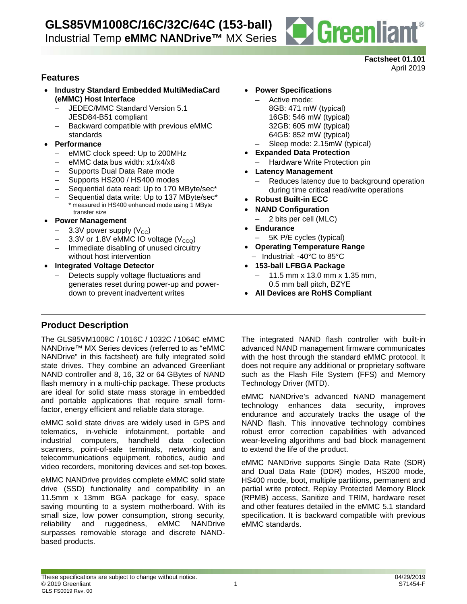

#### **Factsheet 01.101** April 2019

# **Features**

- **Industry Standard Embedded MultiMediaCard (eMMC) Host Interface**
	- JEDEC/MMC Standard Version 5.1 JESD84-B51 compliant
	- Backward compatible with previous eMMC standards
- **Performance**
	- eMMC clock speed: Up to 200MHz
	- eMMC data bus width: x1/x4/x8
	- Supports Dual Data Rate mode
	- Supports HS200 / HS400 modes
	- Sequential data read: Up to 170 MByte/sec\*
	- Sequential data write: Up to 137 MByte/sec\* \* measured in HS400 enhanced mode using 1 MByte transfer size
- **Power Management**
	- $-$  3.3V power supply (V<sub>CC</sub>)
	- 3.3V or 1.8V eMMC IO voltage  $(V_{CCQ})$
	- Immediate disabling of unused circuitry without host intervention
- **Integrated Voltage Detector** 
	- Detects supply voltage fluctuations and generates reset during power-up and powerdown to prevent inadvertent writes

## • **Power Specifications**

- Active mode: 8GB: 471 mW (typical) 16GB: 546 mW (typical) 32GB: 605 mW (typical) 64GB: 852 mW (typical)
- Sleep mode: 2.15mW (typical)
- **Expanded Data Protection**
	- Hardware Write Protection pin
- **Latency Management**
	- Reduces latency due to background operation during time critical read/write operations
- **Robust Built-in ECC**
- **NAND Configuration**
	- 2 bits per cell (MLC)
- **Endurance**
	- 5K P/E cycles (typical)
- **Operating Temperature Range**
- Industrial: -40°C to 85°C
- **153-ball LFBGA Package**
	- $-11.5$  mm x 13.0 mm x 1.35 mm, 0.5 mm ball pitch, BZYE
- **All Devices are RoHS Compliant**

# **Product Description**

The GLS85VM1008C / 1016C / 1032C / 1064C eMMC NANDrive™ MX Series devices (referred to as "eMMC NANDrive" in this factsheet) are fully integrated solid state drives. They combine an advanced Greenliant NAND controller and 8, 16, 32 or 64 GBytes of NAND flash memory in a multi-chip package. These products are ideal for solid state mass storage in embedded and portable applications that require small formfactor, energy efficient and reliable data storage.

eMMC solid state drives are widely used in GPS and telematics, in-vehicle infotainment, portable and industrial computers, handheld data collection scanners, point-of-sale terminals, networking and telecommunications equipment, robotics, audio and video recorders, monitoring devices and set-top boxes.

eMMC NANDrive provides complete eMMC solid state drive (SSD) functionality and compatibility in an 11.5mm x 13mm BGA package for easy, space saving mounting to a system motherboard. With its small size, low power consumption, strong security, reliability and ruggedness, eMMC NANDrive surpasses removable storage and discrete NANDbased products.

The integrated NAND flash controller with built-in advanced NAND management firmware communicates with the host through the standard eMMC protocol. It does not require any additional or proprietary software such as the Flash File System (FFS) and Memory Technology Driver (MTD).

eMMC NANDrive's advanced NAND management technology enhances data security, improves endurance and accurately tracks the usage of the NAND flash. This innovative technology combines robust error correction capabilities with advanced wear-leveling algorithms and bad block management to extend the life of the product.

eMMC NANDrive supports Single Data Rate (SDR) and Dual Data Rate (DDR) modes, HS200 mode, HS400 mode, boot, multiple partitions, permanent and partial write protect, Replay Protected Memory Block (RPMB) access, Sanitize and TRIM, hardware reset and other features detailed in the eMMC 5.1 standard specification. It is backward compatible with previous eMMC standards.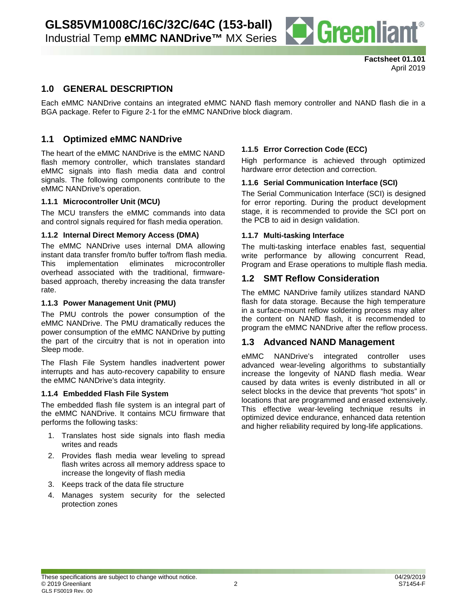

# **1.0 GENERAL DESCRIPTION**

Each eMMC NANDrive contains an integrated eMMC NAND flash memory controller and NAND flash die in a BGA package. Refer to Figure 2-1 for the eMMC NANDrive block diagram.

## **1.1 Optimized eMMC NANDrive**

The heart of the eMMC NANDrive is the eMMC NAND flash memory controller, which translates standard eMMC signals into flash media data and control signals. The following components contribute to the eMMC NANDrive's operation.

## **1.1.1 Microcontroller Unit (MCU)**

The MCU transfers the eMMC commands into data and control signals required for flash media operation.

## **1.1.2 Internal Direct Memory Access (DMA)**

The eMMC NANDrive uses internal DMA allowing instant data transfer from/to buffer to/from flash media. This implementation eliminates microcontroller overhead associated with the traditional, firmwarebased approach, thereby increasing the data transfer rate.

#### **1.1.3 Power Management Unit (PMU)**

The PMU controls the power consumption of the eMMC NANDrive. The PMU dramatically reduces the power consumption of the eMMC NANDrive by putting the part of the circuitry that is not in operation into Sleep mode.

The Flash File System handles inadvertent power interrupts and has auto-recovery capability to ensure the eMMC NANDrive's data integrity.

#### **1.1.4 Embedded Flash File System**

The embedded flash file system is an integral part of the eMMC NANDrive. It contains MCU firmware that performs the following tasks:

- 1. Translates host side signals into flash media writes and reads
- 2. Provides flash media wear leveling to spread flash writes across all memory address space to increase the longevity of flash media
- 3. Keeps track of the data file structure
- 4. Manages system security for the selected protection zones

## **1.1.5 Error Correction Code (ECC)**

High performance is achieved through optimized hardware error detection and correction.

## **1.1.6 Serial Communication Interface (SCI)**

The Serial Communication Interface (SCI) is designed for error reporting. During the product development stage, it is recommended to provide the SCI port on the PCB to aid in design validation.

## **1.1.7 Multi-tasking Interface**

The multi-tasking interface enables fast, sequential write performance by allowing concurrent Read, Program and Erase operations to multiple flash media.

## **1.2 SMT Reflow Consideration**

The eMMC NANDrive family utilizes standard NAND flash for data storage. Because the high temperature in a surface-mount reflow soldering process may alter the content on NAND flash, it is recommended to program the eMMC NANDrive after the reflow process.

## **1.3 Advanced NAND Management**

eMMC NANDrive's integrated controller uses advanced wear-leveling algorithms to substantially increase the longevity of NAND flash media. Wear caused by data writes is evenly distributed in all or select blocks in the device that prevents "hot spots" in locations that are programmed and erased extensively. This effective wear-leveling technique results in optimized device endurance, enhanced data retention and higher reliability required by long-life applications.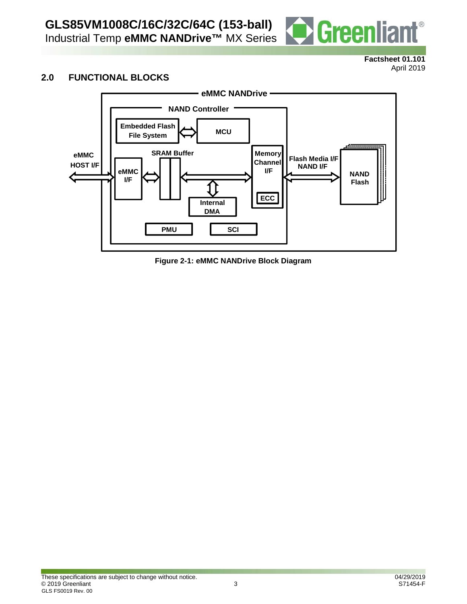

## **Factsheet 01.101** April 2019

# **2.0 FUNCTIONAL BLOCKS**



**Figure 2-1: eMMC NANDrive Block Diagram**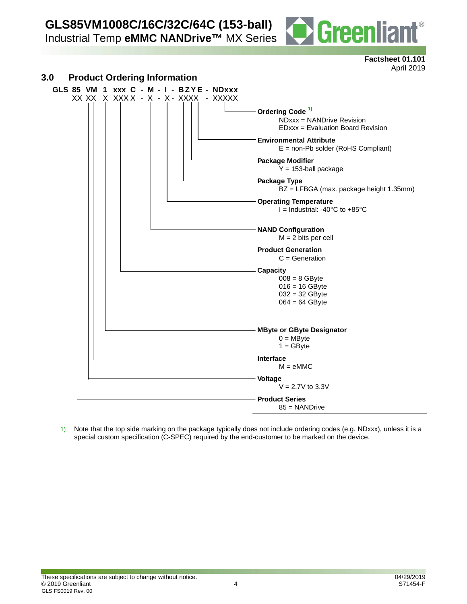**GLS85VM1008C/16C/32C/64C (153-ball)**

Industrial Temp **eMMC NANDrive™** MX Series



**Factsheet 01.101** April 2019



1) Note that the top side marking on the package typically does not include ordering codes (e.g. NDxxx), unless it is a special custom specification (C-SPEC) required by the end-customer to be marked on the device.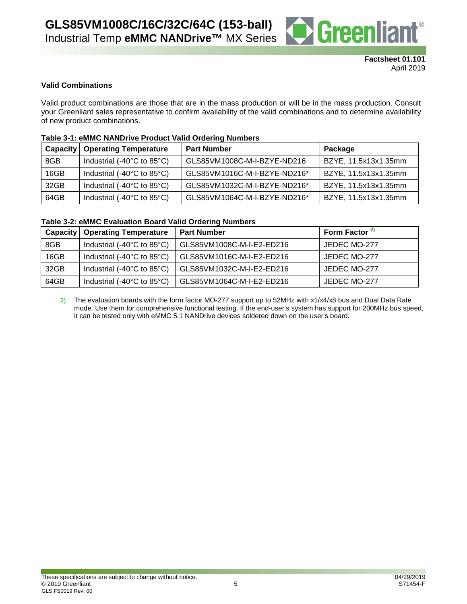

## **Valid Combinations**

Valid product combinations are those that are in the mass production or will be in the mass production. Consult your Greenliant sales representative to confirm availability of the valid combinations and to determine availability of new product combinations.

## **Table 3-1: eMMC NANDrive Product Valid Ordering Numbers**

|      | <b>Capacity   Operating Temperature</b>          | <b>Part Number</b>           | Package              |
|------|--------------------------------------------------|------------------------------|----------------------|
| 8GB  | Industrial (-40 $^{\circ}$ C to 85 $^{\circ}$ C) | GLS85VM1008C-M-I-BZYE-ND216  | BZYE, 11.5x13x1.35mm |
| 16GB | Industrial (-40 $^{\circ}$ C to 85 $^{\circ}$ C) | GLS85VM1016C-M-I-BZYE-ND216* | BZYE, 11.5x13x1.35mm |
| 32GB | Industrial (-40 $^{\circ}$ C to 85 $^{\circ}$ C) | GLS85VM1032C-M-I-BZYE-ND216* | BZYE, 11.5x13x1.35mm |
| 64GB | Industrial (-40 $^{\circ}$ C to 85 $^{\circ}$ C) | GLS85VM1064C-M-I-BZYE-ND216* | BZYE, 11.5x13x1.35mm |

#### **Table 3-2: eMMC Evaluation Board Valid Ordering Numbers**

| Capacity | <b>Operating Temperature</b>                     | <b>Part Number</b>        | Form Factor <sup>2)</sup> |
|----------|--------------------------------------------------|---------------------------|---------------------------|
| 8GB      | Industrial (-40 $^{\circ}$ C to 85 $^{\circ}$ C) | GLS85VM1008C-M-I-E2-ED216 | JEDEC MO-277              |
| 16GB     | Industrial (-40 $^{\circ}$ C to 85 $^{\circ}$ C) | GLS85VM1016C-M-I-E2-ED216 | JEDEC MO-277              |
| 32GB     | Industrial (-40 $^{\circ}$ C to 85 $^{\circ}$ C) | GLS85VM1032C-M-I-E2-ED216 | JEDEC MO-277              |
| 64GB     | Industrial (-40 $^{\circ}$ C to 85 $^{\circ}$ C) | GLS85VM1064C-M-I-E2-ED216 | JEDEC MO-277              |

2) The evaluation boards with the form factor MO-277 support up to 52MHz with x1/x4/x8 bus and Dual Data Rate mode. Use them for comprehensive functional testing. If the end-user's system has support for 200MHz bus speed, it can be tested only with eMMC 5.1 NANDrive devices soldered down on the user's board.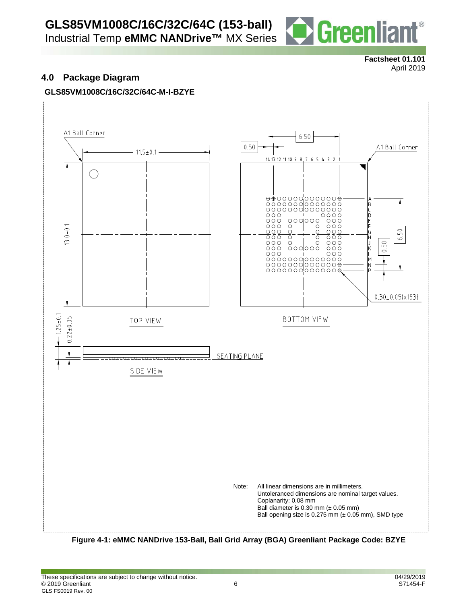# **GLS85VM1008C/16C/32C/64C (153-ball)**

Industrial Temp **eMMC NANDrive™** MX Series



**Factsheet 01.101** April 2019

# **4.0 Package Diagram**

# **GLS85VM1008C/16C/32C/64C-M-I-BZYE**



**Figure 4-1: eMMC NANDrive 153-Ball, Ball Grid Array (BGA) Greenliant Package Code: BZYE**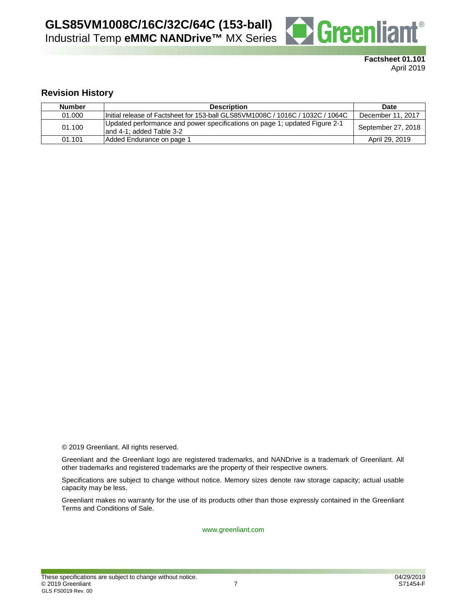

**Factsheet 01.101** April 2019

## **Revision History**

| <b>Number</b> | <b>Description</b>                                                                                      | <b>Date</b>        |
|---------------|---------------------------------------------------------------------------------------------------------|--------------------|
| 01.000        | 1Initial release of Factsheet for 153-ball GLS85VM1008C / 1016C / 1032C / 1064C                         | December 11, 2017  |
| 01.100        | Updated performance and power specifications on page 1; updated Figure 2-1<br>land 4-1: added Table 3-2 | September 27, 2018 |
| 01.101        | Added Endurance on page 1                                                                               | April 29, 2019     |

© 2019 Greenliant. All rights reserved.

Greenliant and the Greenliant logo are registered trademarks, and NANDrive is a trademark of Greenliant. All other trademarks and registered trademarks are the property of their respective owners.

Specifications are subject to change without notice. Memory sizes denote raw storage capacity; actual usable capacity may be less.

Greenliant makes no warranty for the use of its products other than those expressly contained in the Greenliant Terms and Conditions of Sale.

www.greenliant.com